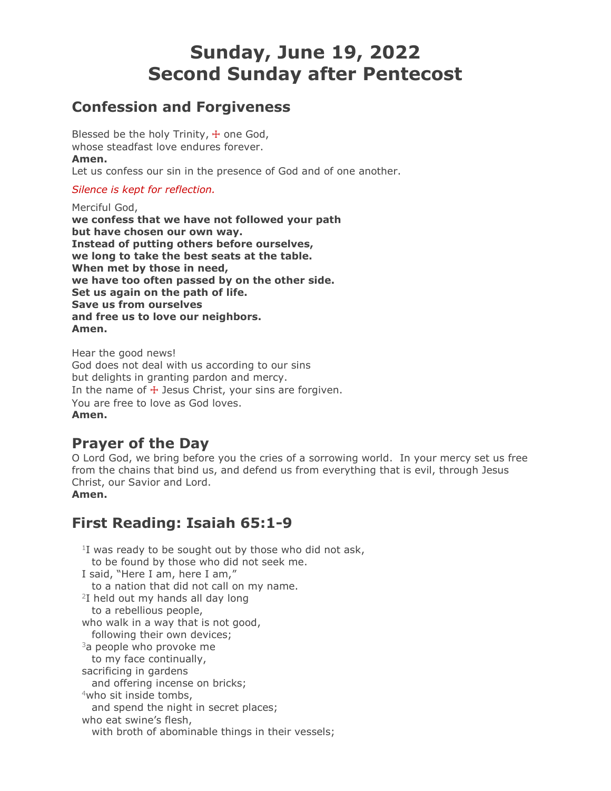# **Sunday, June 19, 2022 Second Sunday after Pentecost**

# **Confession and Forgiveness**

Blessed be the holy Trinity,  $+$  one God, whose steadfast love endures forever. **Amen.** Let us confess our sin in the presence of God and of one another.

*Silence is kept for reflection.*

Merciful God, **we confess that we have not followed your path but have chosen our own way. Instead of putting others before ourselves, we long to take the best seats at the table. When met by those in need, we have too often passed by on the other side. Set us again on the path of life. Save us from ourselves and free us to love our neighbors. Amen.**

Hear the good news! God does not deal with us according to our sins but delights in granting pardon and mercy. In the name of  $\pm$  Jesus Christ, your sins are forgiven. You are free to love as God loves. **Amen.**

# **Prayer of the Day**

O Lord God, we bring before you the cries of a sorrowing world. In your mercy set us free from the chains that bind us, and defend us from everything that is evil, through Jesus Christ, our Savior and Lord. **Amen.**

# **First Reading: Isaiah 65:1-9**

 $1$ I was ready to be sought out by those who did not ask, to be found by those who did not seek me. I said, "Here I am, here I am," to a nation that did not call on my name.  $2I$  held out my hands all day long to a rebellious people, who walk in a way that is not good, following their own devices;  $3a$  people who provoke me to my face continually, sacrificing in gardens and offering incense on bricks; <sup>4</sup>who sit inside tombs, and spend the night in secret places; who eat swine's flesh, with broth of abominable things in their vessels;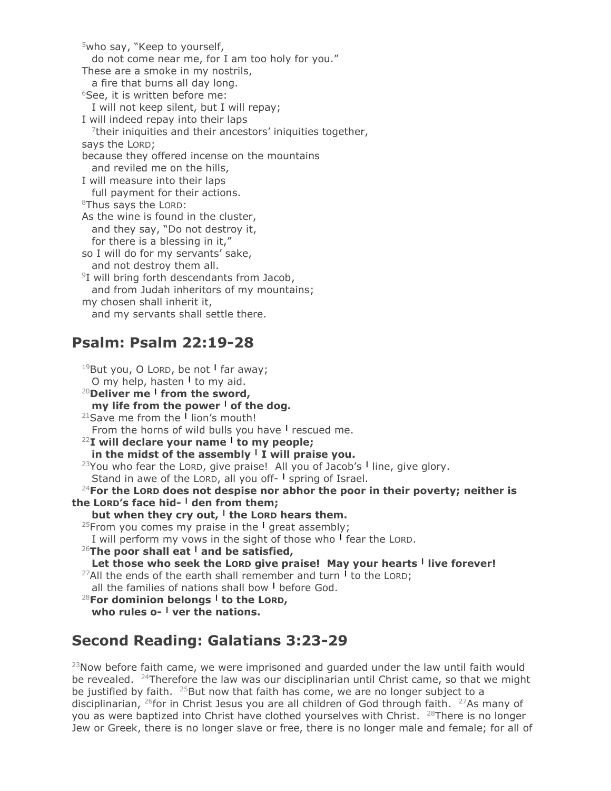<sup>5</sup>who say, "Keep to yourself, do not come near me, for I am too holy for you." These are a smoke in my nostrils, a fire that burns all day long.  $6$ See, it is written before me: I will not keep silent, but I will repay; I will indeed repay into their laps  $7$ their iniquities and their ancestors' iniquities together, says the LORD; because they offered incense on the mountains and reviled me on the hills, I will measure into their laps full payment for their actions. <sup>8</sup>Thus says the LORD: As the wine is found in the cluster, and they say, "Do not destroy it, for there is a blessing in it," so I will do for my servants' sake, and not destroy them all. 9 I will bring forth descendants from Jacob, and from Judah inheritors of my mountains; my chosen shall inherit it, and my servants shall settle there.

# **Psalm: Psalm 22:19-28**

<sup>19</sup>But you, O LORD, be not **<sup>|</sup>** far away; O my help, hasten **<sup>|</sup>** to my aid. <sup>20</sup>**Deliver me <sup>|</sup> from the sword, my life from the power <sup>|</sup> of the dog.** <sup>21</sup>Save me from the **<sup>|</sup>** lion's mouth! From the horns of wild bulls you have **<sup>|</sup>** rescued me. <sup>22</sup>**I will declare your name <sup>|</sup> to my people; in the midst of the assembly <sup>|</sup> I will praise you.**  <sup>23</sup>You who fear the LORD, give praise! All you of Jacob's **<sup>|</sup>** line, give glory. Stand in awe of the LORD, all you off- **<sup>|</sup>** spring of Israel. <sup>24</sup>**For the LORD does not despise nor abhor the poor in their poverty; neither is the LORD's face hid- <sup>|</sup> den from them; but when they cry out, <sup>|</sup> the LORD hears them.** <sup>25</sup>From you comes my praise in the **<sup>|</sup>** great assembly; I will perform my vows in the sight of those who **<sup>|</sup>** fear the LORD. <sup>26</sup>**The poor shall eat <sup>|</sup> and be satisfied,**  Let those who seek the Lord give praise! May your hearts I live forever! <sup>27</sup>All the ends of the earth shall remember and turn **<sup>|</sup>** to the LORD; all the families of nations shall bow **<sup>|</sup>** before God. <sup>28</sup>**For dominion belongs <sup>|</sup> to the LORD, who rules o- <sup>|</sup> ver the nations.**

# **Second Reading: Galatians 3:23-29**

 $23$ Now before faith came, we were imprisoned and guarded under the law until faith would be revealed.  $^{24}$ Therefore the law was our disciplinarian until Christ came, so that we might be justified by faith.  $25$ But now that faith has come, we are no longer subject to a disciplinarian, <sup>26</sup>for in Christ Jesus you are all children of God through faith. <sup>27</sup>As many of you as were baptized into Christ have clothed yourselves with Christ. <sup>28</sup>There is no longer Jew or Greek, there is no longer slave or free, there is no longer male and female; for all of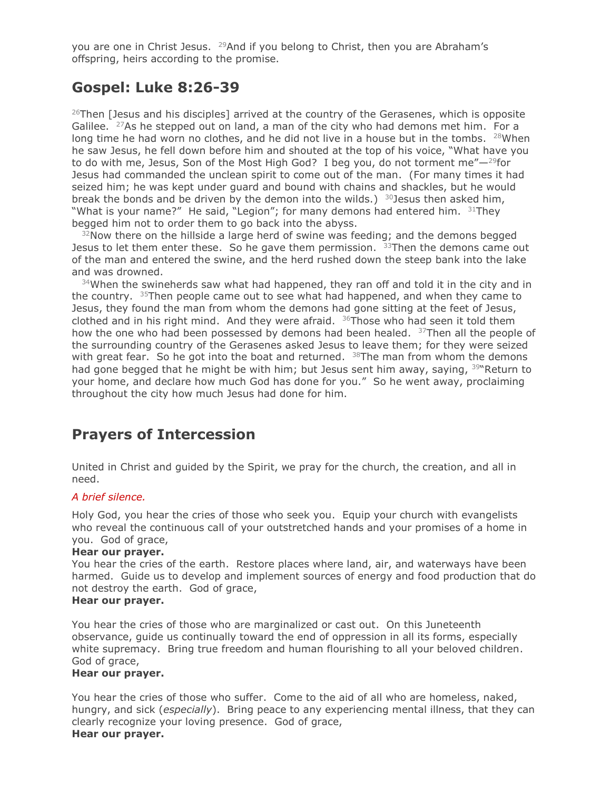you are one in Christ Jesus. <sup>29</sup>And if you belong to Christ, then you are Abraham's offspring, heirs according to the promise.

### **Gospel: Luke 8:26-39**

 $26$ Then [Jesus and his disciples] arrived at the country of the Gerasenes, which is opposite Galilee.  $27$ As he stepped out on land, a man of the city who had demons met him. For a long time he had worn no clothes, and he did not live in a house but in the tombs.  $28$ When he saw Jesus, he fell down before him and shouted at the top of his voice, "What have you to do with me, Jesus, Son of the Most High God? I beg you, do not torment me" $-{}^{29}$ for Jesus had commanded the unclean spirit to come out of the man. (For many times it had seized him; he was kept under guard and bound with chains and shackles, but he would break the bonds and be driven by the demon into the wilds.) <sup>30</sup>Jesus then asked him, "What is your name?" He said, "Legion"; for many demons had entered him.  $31$ They begged him not to order them to go back into the abyss.

 $32$ Now there on the hillside a large herd of swine was feeding; and the demons begged Jesus to let them enter these. So he gave them permission.  $33$ Then the demons came out of the man and entered the swine, and the herd rushed down the steep bank into the lake and was drowned.

 $34$ When the swineherds saw what had happened, they ran off and told it in the city and in the country.  $35$ Then people came out to see what had happened, and when they came to Jesus, they found the man from whom the demons had gone sitting at the feet of Jesus, clothed and in his right mind. And they were afraid.  $36$ Those who had seen it told them how the one who had been possessed by demons had been healed.  $37$ Then all the people of the surrounding country of the Gerasenes asked Jesus to leave them; for they were seized with great fear. So he got into the boat and returned.  $38$ The man from whom the demons had gone begged that he might be with him; but Jesus sent him away, saying, <sup>39</sup> Return to your home, and declare how much God has done for you." So he went away, proclaiming throughout the city how much Jesus had done for him.

### **Prayers of Intercession**

United in Christ and guided by the Spirit, we pray for the church, the creation, and all in need.

#### *A brief silence.*

Holy God, you hear the cries of those who seek you. Equip your church with evangelists who reveal the continuous call of your outstretched hands and your promises of a home in you. God of grace,

#### **Hear our prayer.**

You hear the cries of the earth. Restore places where land, air, and waterways have been harmed. Guide us to develop and implement sources of energy and food production that do not destroy the earth. God of grace,

#### **Hear our prayer.**

You hear the cries of those who are marginalized or cast out. On this Juneteenth observance, guide us continually toward the end of oppression in all its forms, especially white supremacy. Bring true freedom and human flourishing to all your beloved children. God of grace,

#### **Hear our prayer.**

You hear the cries of those who suffer. Come to the aid of all who are homeless, naked, hungry, and sick (*especially*). Bring peace to any experiencing mental illness, that they can clearly recognize your loving presence. God of grace, **Hear our prayer.**